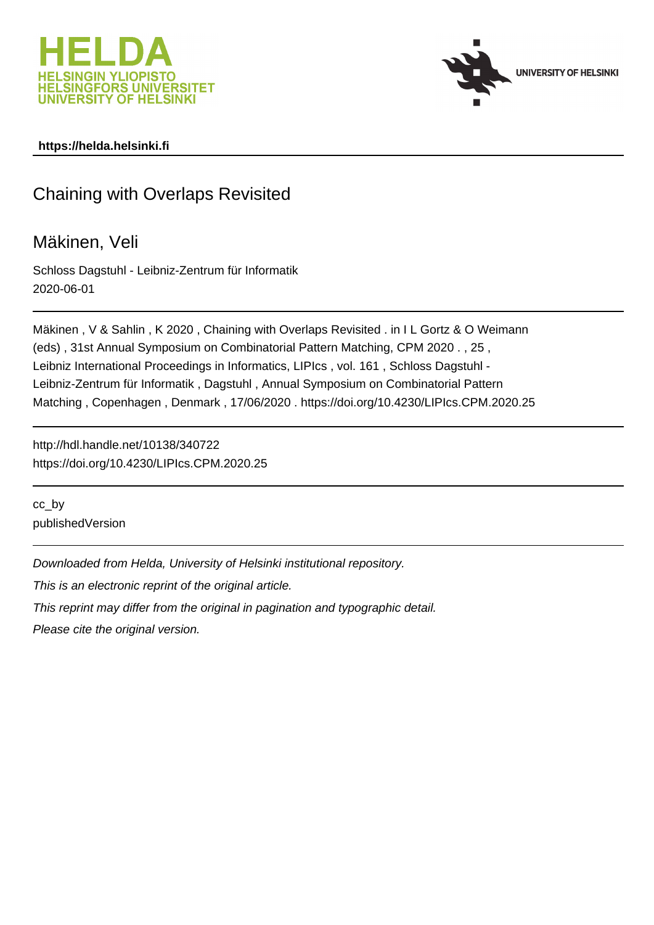



# **https://helda.helsinki.fi**

# Chaining with Overlaps Revisited

# Mäkinen, Veli

Schloss Dagstuhl - Leibniz-Zentrum für Informatik 2020-06-01

Mäkinen , V & Sahlin , K 2020 , Chaining with Overlaps Revisited . in I L Gortz & O Weimann (eds) , 31st Annual Symposium on Combinatorial Pattern Matching, CPM 2020 . , 25 , Leibniz International Proceedings in Informatics, LIPIcs , vol. 161 , Schloss Dagstuhl - Leibniz-Zentrum für Informatik , Dagstuhl , Annual Symposium on Combinatorial Pattern Matching , Copenhagen , Denmark , 17/06/2020 . https://doi.org/10.4230/LIPIcs.CPM.2020.25

http://hdl.handle.net/10138/340722 https://doi.org/10.4230/LIPIcs.CPM.2020.25

cc\_by publishedVersion

Downloaded from Helda, University of Helsinki institutional repository.

This is an electronic reprint of the original article.

This reprint may differ from the original in pagination and typographic detail.

Please cite the original version.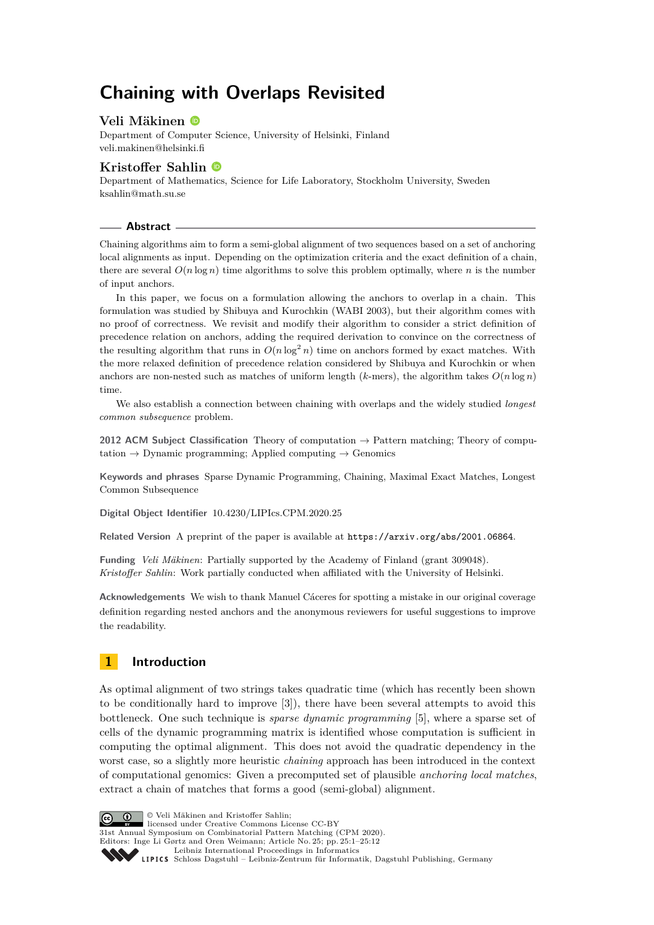# **Chaining with Overlaps Revisited**

## **Veli Mäkinen**

Department of Computer Science, University of Helsinki, Finland [veli.makinen@helsinki.fi](mailto:veli.makinen@helsinki.fi)

## **Kristoffer Sahlin**

Department of Mathematics, Science for Life Laboratory, Stockholm University, Sweden [ksahlin@math.su.se](mailto:ksahlin@math.su.se)

#### **Abstract**

Chaining algorithms aim to form a semi-global alignment of two sequences based on a set of anchoring local alignments as input. Depending on the optimization criteria and the exact definition of a chain, there are several  $O(n \log n)$  time algorithms to solve this problem optimally, where *n* is the number of input anchors.

In this paper, we focus on a formulation allowing the anchors to overlap in a chain. This formulation was studied by Shibuya and Kurochkin (WABI 2003), but their algorithm comes with no proof of correctness. We revisit and modify their algorithm to consider a strict definition of precedence relation on anchors, adding the required derivation to convince on the correctness of the resulting algorithm that runs in  $O(n \log^2 n)$  time on anchors formed by exact matches. With the more relaxed definition of precedence relation considered by Shibuya and Kurochkin or when anchors are non-nested such as matches of uniform length ( $k$ -mers), the algorithm takes  $O(n \log n)$ time.

We also establish a connection between chaining with overlaps and the widely studied *longest common subsequence* problem.

**2012 ACM Subject Classification** Theory of computation → Pattern matching; Theory of computation  $\rightarrow$  Dynamic programming; Applied computing  $\rightarrow$  Genomics

**Keywords and phrases** Sparse Dynamic Programming, Chaining, Maximal Exact Matches, Longest Common Subsequence

**Digital Object Identifier** [10.4230/LIPIcs.CPM.2020.25](https://doi.org/10.4230/LIPIcs.CPM.2020.25)

**Related Version** A preprint of the paper is available at <https://arxiv.org/abs/2001.06864>.

**Funding** *Veli Mäkinen*: Partially supported by the Academy of Finland (grant 309048). *Kristoffer Sahlin*: Work partially conducted when affiliated with the University of Helsinki.

**Acknowledgements** We wish to thank Manuel Cáceres for spotting a mistake in our original coverage definition regarding nested anchors and the anonymous reviewers for useful suggestions to improve the readability.

# **1 Introduction**

As optimal alignment of two strings takes quadratic time (which has recently been shown to be conditionally hard to improve [3]), there have been several attempts to avoid this bottleneck. One such technique is *sparse dynamic programming* [5], where a sparse set of cells of the dynamic programming matrix is identified whose computation is sufficient in computing the optimal alignment. This does not avoid the quadratic dependency in the worst case, so a slightly more heuristic *chaining* approach has been introduced in the context of computational genomics: Given a precomputed set of plausible *anchoring local matches*, extract a chain of matches that forms a good (semi-global) alignment.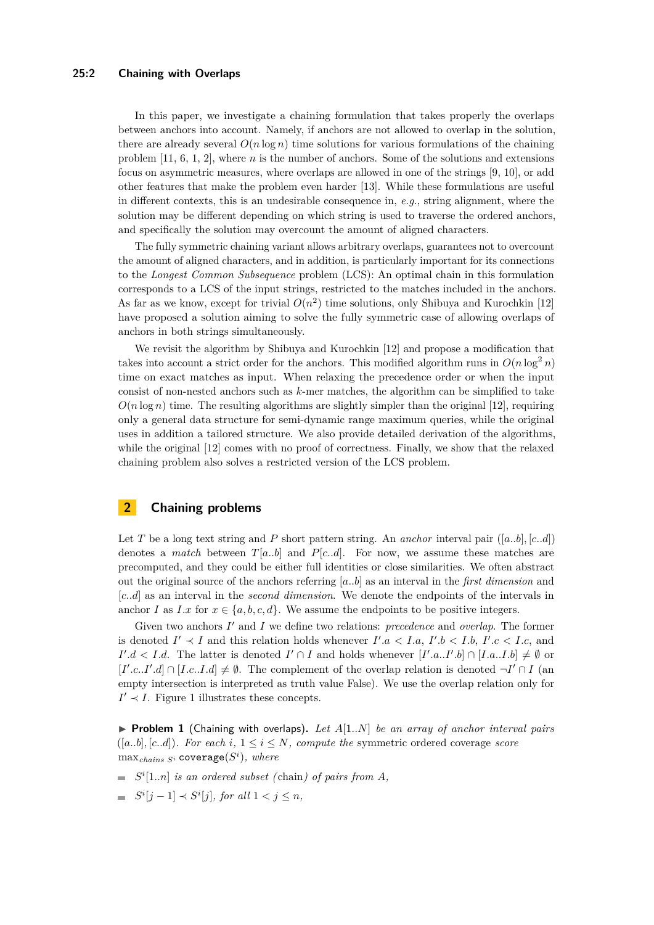#### **25:2 Chaining with Overlaps**

In this paper, we investigate a chaining formulation that takes properly the overlaps between anchors into account. Namely, if anchors are not allowed to overlap in the solution, there are already several  $O(n \log n)$  time solutions for various formulations of the chaining problem [11, 6, 1, 2], where *n* is the number of anchors. Some of the solutions and extensions focus on asymmetric measures, where overlaps are allowed in one of the strings [9, 10], or add other features that make the problem even harder [13]. While these formulations are useful in different contexts, this is an undesirable consequence in, *e.g.*, string alignment, where the solution may be different depending on which string is used to traverse the ordered anchors, and specifically the solution may overcount the amount of aligned characters.

The fully symmetric chaining variant allows arbitrary overlaps, guarantees not to overcount the amount of aligned characters, and in addition, is particularly important for its connections to the *Longest Common Subsequence* problem (LCS): An optimal chain in this formulation corresponds to a LCS of the input strings, restricted to the matches included in the anchors. As far as we know, except for trivial  $O(n^2)$  time solutions, only Shibuya and Kurochkin [12] have proposed a solution aiming to solve the fully symmetric case of allowing overlaps of anchors in both strings simultaneously.

We revisit the algorithm by Shibuya and Kurochkin [12] and propose a modification that takes into account a strict order for the anchors. This modified algorithm runs in  $O(n \log^2 n)$ time on exact matches as input. When relaxing the precedence order or when the input consist of non-nested anchors such as *k*-mer matches, the algorithm can be simplified to take  $O(n \log n)$  time. The resulting algorithms are slightly simpler than the original [12], requiring only a general data structure for semi-dynamic range maximum queries, while the original uses in addition a tailored structure. We also provide detailed derivation of the algorithms, while the original  $[12]$  comes with no proof of correctness. Finally, we show that the relaxed chaining problem also solves a restricted version of the LCS problem.

## **2 Chaining problems**

Let *T* be a long text string and *P* short pattern string. An *anchor* interval pair  $([a..b],[c..d])$ denotes a *match* between  $T[a..b]$  and  $P[c..d]$ . For now, we assume these matches are precomputed, and they could be either full identities or close similarities. We often abstract out the original source of the anchors referring [*a..b*] as an interval in the *first dimension* and [*c..d*] as an interval in the *second dimension*. We denote the endpoints of the intervals in anchor *I* as *I.x* for  $x \in \{a, b, c, d\}$ . We assume the endpoints to be positive integers.

Given two anchors *I'* and *I* we define two relations: *precedence* and *overlap*. The former is denoted  $I' \prec I$  and this relation holds whenever  $I'.a < I.a, I'.b < I.b, I'.c < I.c$ , and *I*<sup>'</sup>.d < *I.d.* The latter is denoted *I*<sup>'</sup> ∩ *I* and holds whenever  $[I'.a..I'.b] \cap [I.a..I.b] \neq \emptyset$  or  $[I'.c..I'.d] \cap [I.c..I.d] \neq \emptyset$ . The complement of the overlap relation is denoted  $\neg I' \cap I$  (an empty intersection is interpreted as truth value False). We use the overlap relation only for  $I' \prec I$ . Figure 1 illustrates these concepts.

 $\triangleright$  **Problem 1** (Chaining with overlaps). Let  $A[1..N]$  be an array of anchor interval pairs  $([a..b], [c..d])$ *. For each*  $i, 1 \leq i \leq N$ *, compute the* symmetric ordered coverage *score*  $\max_{chains\;S^i}$  coverage $(S^i),\;where$ 

- $S^i[1..n]$  *is an ordered subset (chain) of pairs from A*,
- $S^i[j-1] \prec S^i[j]$ , for all  $1 < j \leq n$ ,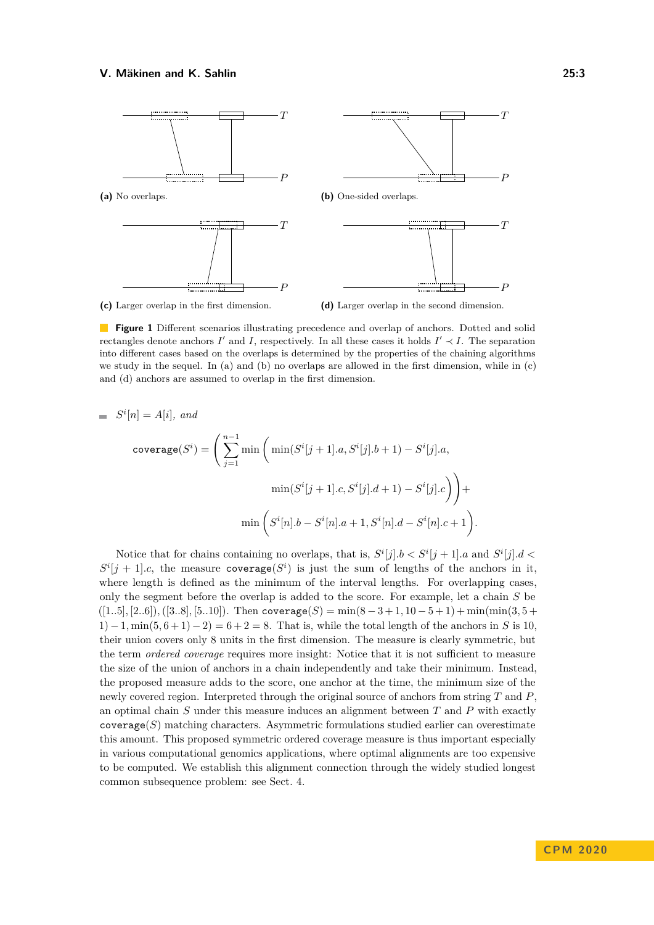

**(c)** Larger overlap in the first dimension.

**(d)** Larger overlap in the second dimension.

**Figure 1** Different scenarios illustrating precedence and overlap of anchors. Dotted and solid rectangles denote anchors  $I'$  and  $I$ , respectively. In all these cases it holds  $I' \prec I$ . The separation into different cases based on the overlaps is determined by the properties of the chaining algorithms we study in the sequel. In (a) and (b) no overlaps are allowed in the first dimension, while in (c) and (d) anchors are assumed to overlap in the first dimension.

$$
= Si[n] = A[i], and
$$

$$
\text{coverage}(S^i) = \left(\sum_{j=1}^{n-1} \min\left(\min(S^i[j+1].a, S^i[j].b+1) - S^i[j].a, \right.\n\min(S^i[j+1].c, S^i[j].d+1) - S^i[j].c\right)\n+ \min\left(S^i[n].b - S^i[n].a + 1, S^i[n].d - S^i[n].c + 1\right).
$$

Notice that for chains containing no overlaps, that is,  $S^i[j].b < S^i[j+1].a$  and  $S^i[j].d <$  $S^i[j+1]$ *c*, the measure coverage( $S^i$ ) is just the sum of lengths of the anchors in it, where length is defined as the minimum of the interval lengths. For overlapping cases, only the segment before the overlap is added to the score. For example, let a chain *S* be  $([1..5], [2..6]), ([3..8], [5..10]).$  Then coverage $(S) = \min(8-3+1, 10-5+1) + \min(\min(3, 5+1, 10-5))$  $1) - 1$ , min $(5, 6 + 1) - 2 = 6 + 2 = 8$ . That is, while the total length of the anchors in *S* is 10. their union covers only 8 units in the first dimension. The measure is clearly symmetric, but the term *ordered coverage* requires more insight: Notice that it is not sufficient to measure the size of the union of anchors in a chain independently and take their minimum. Instead, the proposed measure adds to the score, one anchor at the time, the minimum size of the newly covered region. Interpreted through the original source of anchors from string *T* and *P*, an optimal chain *S* under this measure induces an alignment between *T* and *P* with exactly  $\text{coverage}(S)$  matching characters. Asymmetric formulations studied earlier can overestimate this amount. This proposed symmetric ordered coverage measure is thus important especially in various computational genomics applications, where optimal alignments are too expensive to be computed. We establish this alignment connection through the widely studied longest common subsequence problem: see Sect. 4.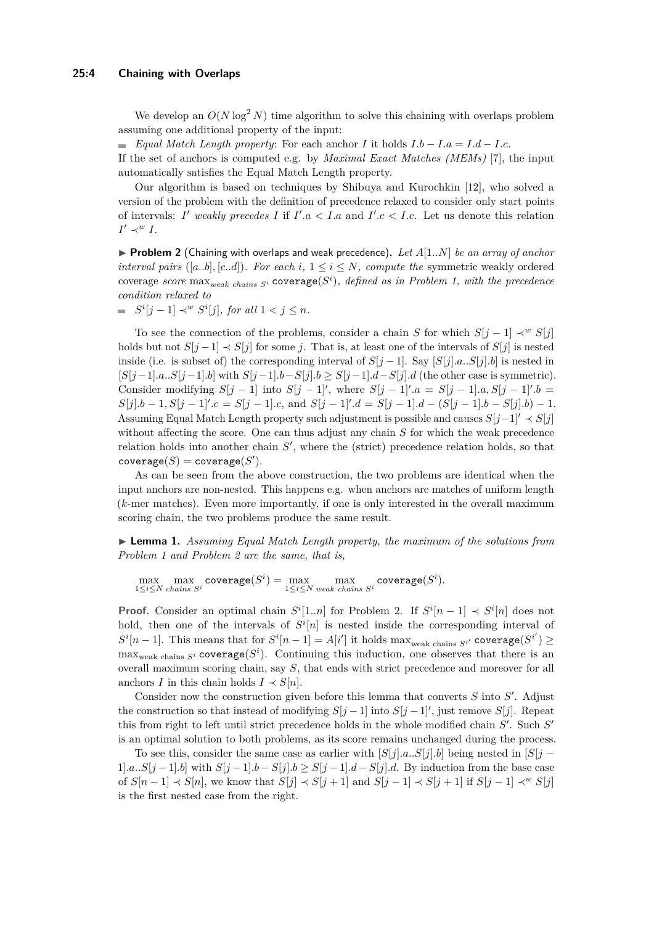#### **25:4 Chaining with Overlaps**

We develop an  $O(N \log^2 N)$  time algorithm to solve this chaining with overlaps problem assuming one additional property of the input:

*Equal Match Length property*: For each anchor *I* it holds *I.b* − *I.a* = *I.d* − *I.c*.

If the set of anchors is computed e.g. by *Maximal Exact Matches (MEMs)* [7], the input automatically satisfies the Equal Match Length property.

Our algorithm is based on techniques by Shibuya and Kurochkin [12], who solved a version of the problem with the definition of precedence relaxed to consider only start points of intervals: *I'* weakly precedes *I* if  $I'.a < I.a$  and  $I'.c < I.c$ . Let us denote this relation  $I' \prec^w I$ .

 $\triangleright$  **Problem 2** (Chaining with overlaps and weak precedence). Let  $A[1..N]$  be an array of anchor *interval pairs* ([a..b], [c..d]). For each *i*,  $1 \le i \le N$ , compute the symmetric weakly ordered  $\text{coverage score max}_{weak chains S^i}$   $\text{coverage}(S^i)$ , defined as in Problem 1, with the precedence *condition relaxed to*

 $S^i[j-1] \prec^w S^i[j]$ , for all  $1 < j \leq n$ .

To see the connection of the problems, consider a chain *S* for which  $S[i-1] \prec w S[i]$ holds but not  $S[j-1] \prec S[j]$  for some *j*. That is, at least one of the intervals of  $S[j]$  is nested inside (i.e. is subset of) the corresponding interval of  $S[j-1]$ . Say  $[S[j].a...S[j].b]$  is nested in [*S*[*j*−1]*.a..S*[*j*−1]*.b*] with *S*[*j*−1]*.b*−*S*[*j*]*.b* ≥ *S*[*j*−1]*.d*−*S*[*j*]*.d* (the other case is symmetric). Consider modifying  $S[j-1]$  into  $S[j-1]'$ , where  $S[j-1]'$ . $a = S[j-1]$ . $a, S[j-1]'$ . $b =$  $S[j].b-1, S[j-1]'.c = S[j-1].c$ , and  $S[j-1]'.d = S[j-1].d - (S[j-1].b - S[j].b) - 1$ . Assuming Equal Match Length property such adjustment is possible and causes  $S[j-1] \nvert S[j]$ without affecting the score. One can thus adjust any chain *S* for which the weak precedence relation holds into another chain  $S'$ , where the (strict) precedence relation holds, so that  $\mathsf{coverage}(S)=\mathsf{coverage}(S').$ 

As can be seen from the above construction, the two problems are identical when the input anchors are non-nested. This happens e.g. when anchors are matches of uniform length (*k*-mer matches). Even more importantly, if one is only interested in the overall maximum scoring chain, the two problems produce the same result.

I **Lemma 1.** *Assuming Equal Match Length property, the maximum of the solutions from Problem 1 and Problem 2 are the same, that is,*

 $\max_{1 \le i \le N} \max_{\text{chains } S^i} \text{coverage}(S^i) = \max_{1 \le i \le N} \max_{\text{weak chains } S^i} \text{coverage}(S^i).$ 

**Proof.** Consider an optimal chain  $S^i[1..n]$  for Problem 2. If  $S^i[n-1] \prec S^i[n]$  does not hold, then one of the intervals of  $S^i[n]$  is nested inside the corresponding interval of  $S^i[n-1]$ . This means that for  $S^i[n-1] = A[i']$  it holds max<sub>weak chains  $S^{i'}$  coverage( $S^{i'}$ ) ≥</sub>  $\max_{\text{weak chains } S^i}$  coverage( $S^i$ ). Continuing this induction, one observes that there is an overall maximum scoring chain, say *S*, that ends with strict precedence and moreover for all anchors *I* in this chain holds  $I \prec S[n]$ .

Consider now the construction given before this lemma that converts  $S$  into  $S'$ . Adjust the construction so that instead of modifying  $S[j-1]$  into  $S[j-1]'$ , just remove  $S[j]$ . Repeat this from right to left until strict precedence holds in the whole modified chain  $S'$ . Such  $S'$ is an optimal solution to both problems, as its score remains unchanged during the process.

To see this, consider the same case as earlier with  $[S[j].a...S[j].b]$  being nested in  $[S[j]-b]$ 1]*.a..S*[*j* − 1]*.b*] with  $S[j-1]$ *.b* −  $S[j]$ *.b* ≥  $S[j-1]$ *.d* −  $S[j]$ *.d*. By induction from the base case of *S*[*n* − 1] ≺ *S*[*n*], we know that *S*[*j*] ≺ *S*[*j* + 1] and *S*[*j* − 1] ≺ *S*[*j* + 1] if *S*[*j* − 1] ≺*<sup>w</sup> S*[*j*] is the first nested case from the right.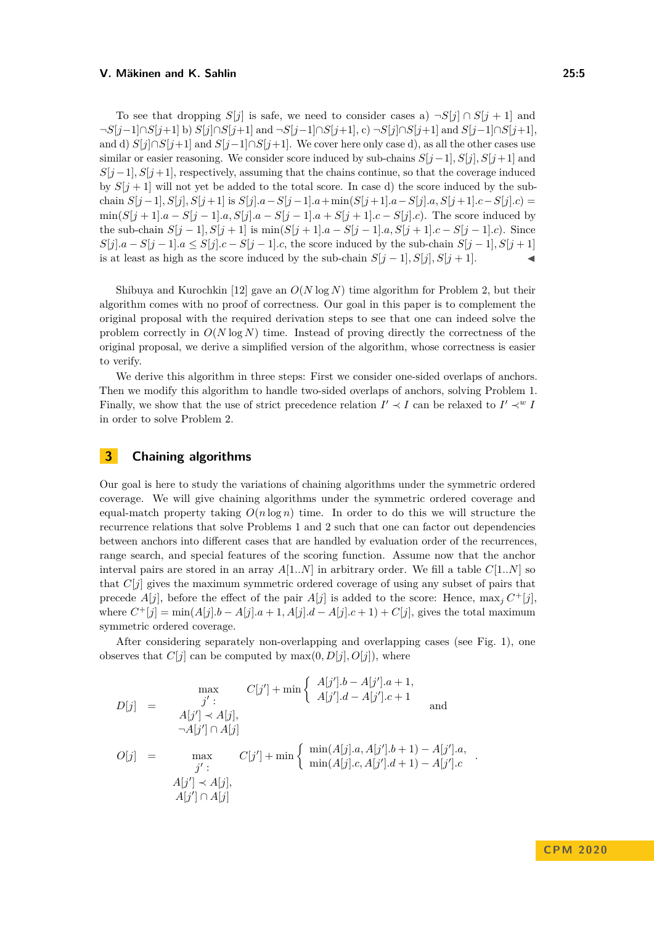To see that dropping *S*[*j*] is safe, we need to consider cases a)  $\neg S[j] \cap S[j+1]$  and ¬*S*[*j*−1]∩*S*[*j*+1] b) *S*[*j*]∩*S*[*j*+1] and ¬*S*[*j*−1]∩*S*[*j*+1], c) ¬*S*[*j*]∩*S*[*j*+1] and *S*[*j*−1]∩*S*[*j*+1], and d)  $S[i] \cap S[i+1]$  and  $S[i-1] \cap S[i+1]$ . We cover here only case d), as all the other cases use similar or easier reasoning. We consider score induced by sub-chains  $S[j-1], S[j], S[j+1]$  and  $S[j-1], S[j+1]$ , respectively, assuming that the chains continue, so that the coverage induced by  $S[i+1]$  will not yet be added to the total score. In case d) the score induced by the subchain  $S[j-1], S[j], S[j+1]$  is  $S[j].a-S[j-1].a+\min(S[j+1].a-S[j].a, S[j+1].c-S[j].c)$  $\min(S[j+1] \cdot a - S[j-1] \cdot a, S[j] \cdot a - S[j-1] \cdot a + S[j+1] \cdot c - S[j] \cdot c$ . The score induced by the sub-chain  $S[j - 1], S[j + 1]$  is  $\min(S[j + 1], a - S[j - 1], a, S[j + 1], c - S[j - 1], c)$ . Since  $S[j].a - S[j-1].a \leq S[j].c - S[j-1].c$ , the score induced by the sub-chain  $S[j-1], S[j+1]$ is at least as high as the score induced by the sub-chain  $S[j-1], S[j], S[j+1]$ .

Shibuya and Kurochkin [12] gave an *O*(*N* log *N*) time algorithm for Problem 2, but their algorithm comes with no proof of correctness. Our goal in this paper is to complement the original proposal with the required derivation steps to see that one can indeed solve the problem correctly in  $O(N \log N)$  time. Instead of proving directly the correctness of the original proposal, we derive a simplified version of the algorithm, whose correctness is easier to verify.

We derive this algorithm in three steps: First we consider one-sided overlaps of anchors. Then we modify this algorithm to handle two-sided overlaps of anchors, solving Problem 1. Finally, we show that the use of strict precedence relation  $I' \prec I$  can be relaxed to  $I' \prec^w I$ in order to solve Problem 2.

## **3 Chaining algorithms**

Our goal is here to study the variations of chaining algorithms under the symmetric ordered coverage. We will give chaining algorithms under the symmetric ordered coverage and equal-match property taking  $O(n \log n)$  time. In order to do this we will structure the recurrence relations that solve Problems 1 and 2 such that one can factor out dependencies between anchors into different cases that are handled by evaluation order of the recurrences, range search, and special features of the scoring function. Assume now that the anchor interval pairs are stored in an array  $A[1..N]$  in arbitrary order. We fill a table  $C[1..N]$  so that *C*[*j*] gives the maximum symmetric ordered coverage of using any subset of pairs that precede  $A[j]$ , before the effect of the pair  $A[j]$  is added to the score: Hence,  $\max_j C^+[j]$ , where  $C^+[j] = \min(A[j].b - A[j].a + 1, A[j].d - A[j].c + 1) + C[j]$ , gives the total maximum symmetric ordered coverage.

After considering separately non-overlapping and overlapping cases (see Fig. 1), one observes that  $C[j]$  can be computed by  $\max(0, D[j], O[j])$ , where

$$
D[j] = \max_{j':\atop \text{and } j'':} C[j'] + \min\left\{\begin{array}{l} A[j'].b - A[j'].a + 1, \\ A[j'].d - A[j'].c + 1 \end{array}\right\} \text{ and}
$$
  
\n
$$
O[j] = \max_{j':\atop \text{and } j':\atop \text{and } j':\atop A[j'] \prec A[j],} C[j'] + \min\left\{\begin{array}{l} \min(A[j].a, A[j'].b + 1) - A[j'].a, \\ \min(A[j].c, A[j'].d + 1) - A[j'].c, \\ A[j'] \prec A[j], \\ A[j'] \cap A[j] \end{array}\right.
$$

*.*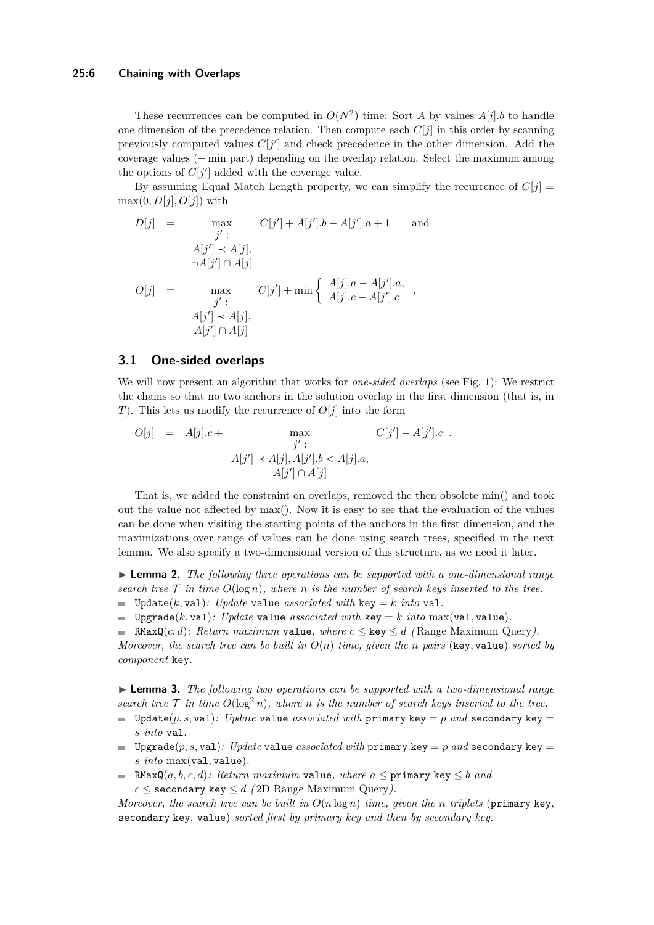#### **25:6 Chaining with Overlaps**

These recurrences can be computed in  $O(N^2)$  time: Sort *A* by values  $A[i].b$  to handle one dimension of the precedence relation. Then compute each  $C[j]$  in this order by scanning previously computed values  $C[j']$  and check precedence in the other dimension. Add the coverage values (+ min part) depending on the overlap relation. Select the maximum among the options of  $C[j']$  added with the coverage value.

By assuming Equal Match Length property, we can simplify the recurrence of  $C[i]$  $max(0, D[j], O[j])$  with

$$
D[j] = \max_{j':}
$$
  
\n
$$
C[j'] + A[j'].b - A[j'].a + 1
$$
 and  
\n
$$
A[j'] \prec A[j],
$$
  
\n
$$
O[j] = \max_{j':}
$$
  
\n
$$
C[j'] + \min \left\{ \begin{array}{c} A[j].a - A[j'].a, \\ A[j].c - A[j'].c \end{array} \right\}.
$$
  
\n
$$
A[j'] \prec A[j],
$$
  
\n
$$
A[j'] \cap A[j]
$$

### **3.1 One-sided overlaps**

We will now present an algorithm that works for *one-sided overlaps* (see Fig. 1): We restrict the chains so that no two anchors in the solution overlap in the first dimension (that is, in *T*). This lets us modify the recurrence of *O*[*j*] into the form

$$
O[j] = A[j].c + \max_{j': A[j'] \prec A[j], A[j'], b < A[j].a, A[j'] \cap A[j]}
$$
 C[j'] - A[j'].c.

That is, we added the constraint on overlaps, removed the then obsolete min() and took out the value not affected by max(). Now it is easy to see that the evaluation of the values can be done when visiting the starting points of the anchors in the first dimension, and the maximizations over range of values can be done using search trees, specified in the next lemma. We also specify a two-dimensional version of this structure, as we need it later.

I **Lemma 2.** *The following three operations can be supported with a one-dimensional range search tree*  $\mathcal T$  *in time*  $O(\log n)$ *, where n is the number of search keys inserted to the tree.*  $\blacksquare$  Update(k, val): Update value *associated with* key = *k into* val.

Upgrade(*k*, val): Update value *associated with* key = *k into* max(val, value).

RMaxQ(c,d): Return maximum value, where  $c \le \text{key} \le d$  (Range Maximum Query). *Moreover, the search tree can be built in*  $O(n)$  *time, given the n pairs* (key, value) *sorted by component* key*.*

**► Lemma 3.** *The following two operations can be supported with a two-dimensional range search tree*  $\mathcal T$  *in time*  $O(\log^2 n)$ *, where n is the number of search keys inserted to the tree.* 

- Update(*p, s, val): Update* value *associated with* primary key = *p* and secondary key = *s into* val*.*
- $\blacksquare$  Upgrade(p, s, val): Update value *associated with* primary key = p and secondary key = *s into* max(val*,* value)*.*
- RMaxQ( $a, b, c, d$ )*: Return maximum* value, where  $a \leq$  primary key  $\leq b$  *and*  $c \leq$  secondary key  $\leq d$  *(* 2D Range Maximum Query*)*.

*Moreover, the search tree can be built in*  $O(n \log n)$  *time, given the n triplets* (primary key, secondary key*,* value) *sorted first by primary key and then by secondary key.*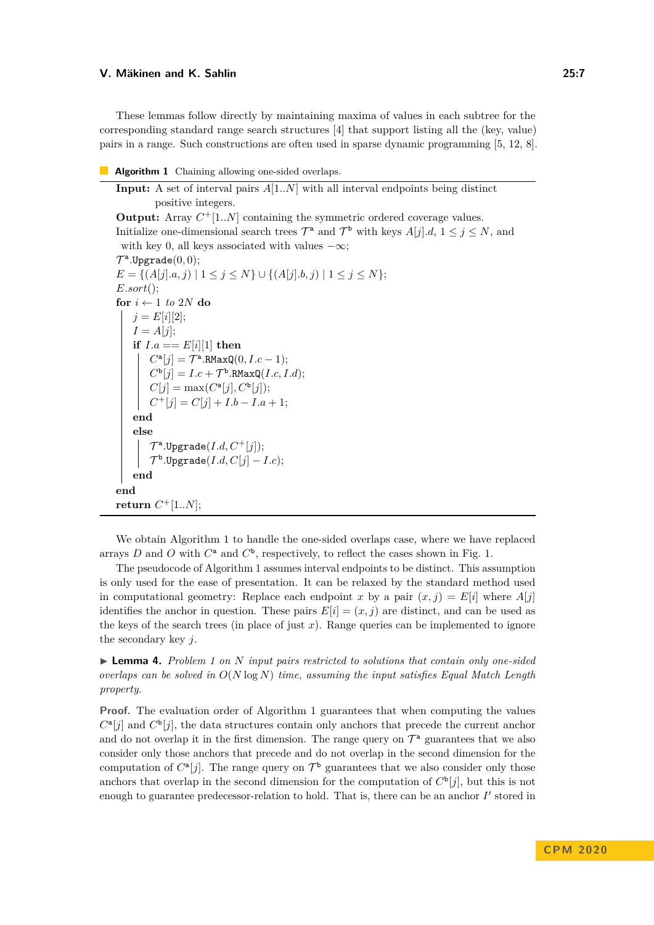These lemmas follow directly by maintaining maxima of values in each subtree for the corresponding standard range search structures [4] that support listing all the (key, value) pairs in a range. Such constructions are often used in sparse dynamic programming [5, 12, 8].

#### **Algorithm 1** Chaining allowing one-sided overlaps.

**Input:** A set of interval pairs *A*[1*..N*] with all interval endpoints being distinct positive integers. **Output:** Array  $C^+$ [1..N] containing the symmetric ordered coverage values. Initialize one-dimensional search trees  $\mathcal{T}^a$  and  $\mathcal{T}^b$  with keys  $A[j].d, 1 \leq j \leq N$ , and with key 0, all keys associated with values  $-\infty$ ;  $\mathcal{T}^{\mathbf{a}}$ .Upgrade $(0,0);$  $E = \{(A[j].a, j) | 1 \leq j \leq N\} \cup \{(A[j].b, j) | 1 \leq j \leq N\};\$ *E.sort*(); **for**  $i \leftarrow 1$  *to* 2*N* **do**  $j = E[i][2];$  $I = A[i]$ ; **if**  $I.a == E[i][1]$  **then**  $C^{\mathbf{a}}[j] = \mathcal{T}^{\mathbf{a}}$ .RMaxQ $(0, I.c - 1);$  $C^{\mathbf{b}}[j] = I.c + \mathcal{T}^{\mathbf{b}}$ .RMaxQ $(I.c, I.d)$ ;  $C[j] = \max(C^{\mathsf{a}}[j], C^{\mathsf{b}}[j]);$  $C^+[j] = C[j] + I.b - I.a + 1;$ **end else**  $\mathcal{T}^{\mathsf{a}}$ .Upgrade $(I.d, C^{+}[j])$ ;  $\mathcal{T}^{\mathtt{b}}.\mathtt{Upgrade}(I.d,C[j]-I.c);$ **end end**  $r$ **eturn**  $C$ <sup>+</sup>[1*..N*];

We obtain Algorithm 1 to handle the one-sided overlaps case, where we have replaced arrays *D* and *O* with  $C^a$  and  $C^b$ , respectively, to reflect the cases shown in Fig. 1.

The pseudocode of Algorithm 1 assumes interval endpoints to be distinct. This assumption is only used for the ease of presentation. It can be relaxed by the standard method used in computational geometry: Replace each endpoint *x* by a pair  $(x, j) = E[i]$  where  $A[j]$ identifies the anchor in question. These pairs  $E[i] = (x, j)$  are distinct, and can be used as the keys of the search trees (in place of just  $x$ ). Range queries can be implemented to ignore the secondary key *j*.

I **Lemma 4.** *Problem 1 on N input pairs restricted to solutions that contain only one-sided overlaps can be solved in O*(*N* log *N*) *time, assuming the input satisfies Equal Match Length property.*

**Proof.** The evaluation order of Algorithm 1 guarantees that when computing the values  $C^{\mathbf{a}}[j]$  and  $C^{\mathbf{b}}[j]$ , the data structures contain only anchors that precede the current anchor and do not overlap it in the first dimension. The range query on  $\mathcal{T}^{\mathsf{a}}$  guarantees that we also consider only those anchors that precede and do not overlap in the second dimension for the computation of  $C^{\mathfrak{a}}[j]$ . The range query on  $\mathcal{T}^{\mathfrak{b}}$  guarantees that we also consider only those anchors that overlap in the second dimension for the computation of  $C^{\mathsf{b}}[j]$ , but this is not enough to guarantee predecessor-relation to hold. That is, there can be an anchor  $I'$  stored in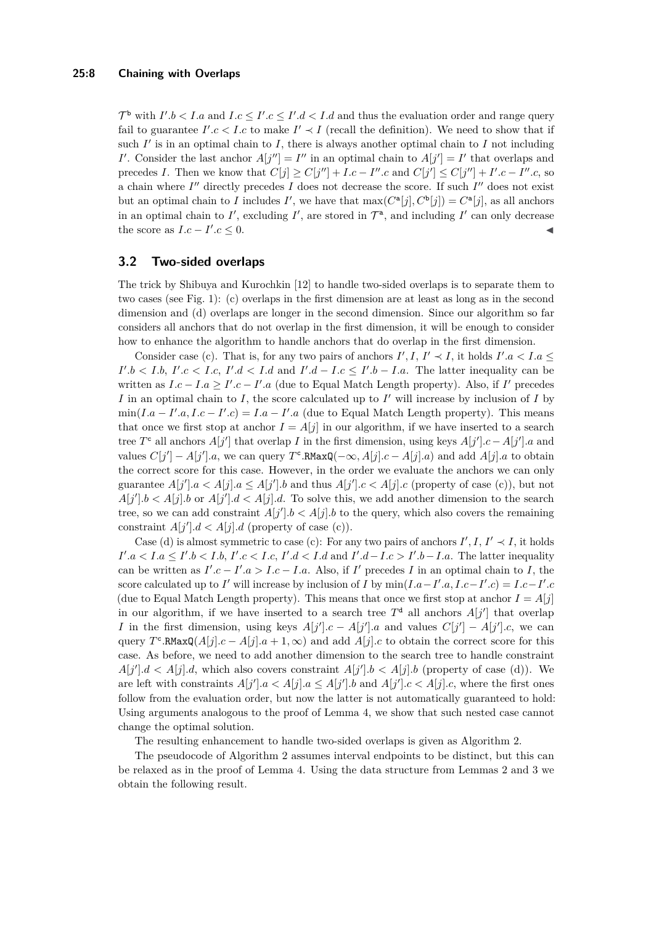#### **25:8 Chaining with Overlaps**

 $\mathcal{T}^{\mathbf{b}}$  with  $I'.b < I.a$  and  $I.c \leq I'.c \leq I'.d < I.d$  and thus the evaluation order and range query fail to guarantee  $I'.c < I.c$  to make  $I' \prec I$  (recall the definition). We need to show that if such  $I'$  is in an optimal chain to  $I$ , there is always another optimal chain to  $I$  not including *I*<sup>'</sup>. Consider the last anchor  $A[j''] = I''$  in an optimal chain to  $A[j'] = I'$  that overlaps and precedes *I*. Then we know that  $C[j] \geq C[j''] + I.c - I''.c$  and  $C[j'] \leq C[j''] + I'.c - I''.c$ , so a chain where  $I''$  directly precedes  $I$  does not decrease the score. If such  $I''$  does not exist but an optimal chain to *I* includes *I*', we have that  $\max(C^{\mathsf{a}}[j], C^{\mathsf{b}}[j]) = C^{\mathsf{a}}[j]$ , as all anchors in an optimal chain to  $I'$ , excluding  $I'$ , are stored in  $\mathcal{T}^a$ , and including  $I'$  can only decrease the score as  $I.c - I'$  $c \leq 0$ .

## **3.2 Two-sided overlaps**

The trick by Shibuya and Kurochkin [12] to handle two-sided overlaps is to separate them to two cases (see Fig. 1): (c) overlaps in the first dimension are at least as long as in the second dimension and (d) overlaps are longer in the second dimension. Since our algorithm so far considers all anchors that do not overlap in the first dimension, it will be enough to consider how to enhance the algorithm to handle anchors that do overlap in the first dimension.

Consider case (c). That is, for any two pairs of anchors  $I', I, I' \prec I$ , it holds  $I'.a < I.a \le$  $I'.b < I.b, I'.c < I.c, I'.d < I.d$  and  $I'.d - I.c \leq I'.b - I.a$ . The latter inequality can be written as  $I.c - I.a \geq I'.c - I'.a$  (due to Equal Match Length property). Also, if *I'* precedes  $I$  in an optimal chain to  $I$ , the score calculated up to  $I'$  will increase by inclusion of  $I$  by  $\min(I.a - I'.a, I.c - I'.c) = I.a - I'.a$  (due to Equal Match Length property). This means that once we first stop at anchor  $I = A[j]$  in our algorithm, if we have inserted to a search tree  $T^c$  all anchors  $A[j']$  that overlap *I* in the first dimension, using keys  $A[j']$ .c –  $A[j']$ .a and values  $C[j'] - A[j']$ .a, we can query  $T^c$ .RMaxQ( $-\infty$ *, A*[*j*].c – *A*[*j*].a) and add *A*[*j*].a to obtain the correct score for this case. However, in the order we evaluate the anchors we can only guarantee  $A[j']$   $a < A[j]$   $a \leq A[j']$   $b$  and thus  $A[j']$   $c < A[j]$   $c$  (property of case (c)), but not  $A[j'].b < A[j].b$  or  $A[j'].d < A[j].d$ . To solve this, we add another dimension to the search tree, so we can add constraint  $A[j']$ . $b < A[j]$ . $b$  to the query, which also covers the remaining constraint  $A[j'].d < A[j].d$  (property of case (c)).

Case (d) is almost symmetric to case (c): For any two pairs of anchors  $I', I, I' \prec I$ , it holds  $I'.a < I.a \leq I'.b < I.b, I'.c < I.c, I'.d < I.d$  and  $I'.d-I.c > I'.b-I.a$ . The latter inequality can be written as  $I'.c - I'.a > I.c - I.a.$  Also, if *I'* precedes *I* in an optimal chain to *I*, the score calculated up to *I'* will increase by inclusion of *I* by  $\min(I.a - I'.a, I.c - I'.c) = I.c - I'.c$ (due to Equal Match Length property). This means that once we first stop at anchor  $I = A[j]$ in our algorithm, if we have inserted to a search tree  $T^d$  all anchors  $A[j']$  that overlap *I* in the first dimension, using keys  $A[j'].c - A[j'].a$  and values  $C[j'] - A[j'].c$ , we can query  $T^c$ .RMaxQ( $A[j].c - A[j].a + 1, \infty$ ) and add  $A[j].c$  to obtain the correct score for this case. As before, we need to add another dimension to the search tree to handle constraint  $A[j']$ .d < A[j].d, which also covers constraint  $A[j']$ .b < A[j].b (property of case (d)). We are left with constraints  $A[j']$ . $a < A[j]$ . $a \le A[j']$ . $b$  and  $A[j']$ . $c < A[j]$ . $c$ , where the first ones follow from the evaluation order, but now the latter is not automatically guaranteed to hold: Using arguments analogous to the proof of Lemma 4, we show that such nested case cannot change the optimal solution.

The resulting enhancement to handle two-sided overlaps is given as Algorithm 2.

The pseudocode of Algorithm 2 assumes interval endpoints to be distinct, but this can be relaxed as in the proof of Lemma 4. Using the data structure from Lemmas 2 and 3 we obtain the following result.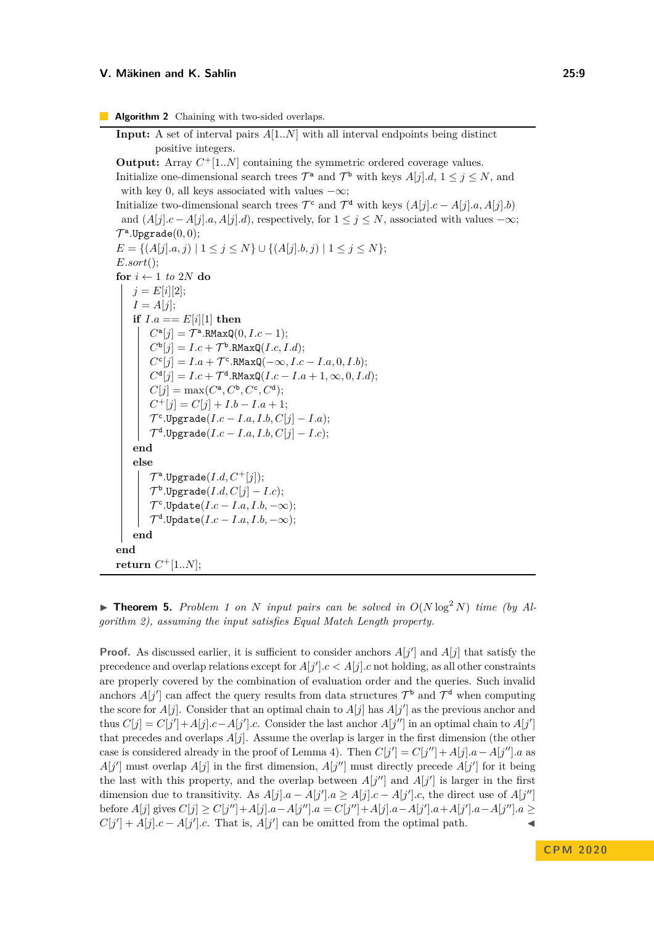**Algorithm 2** Chaining with two-sided overlaps.

```
Input: A set of interval pairs A[1..N] with all interval endpoints being distinct
           positive integers.
Output: Array C^+[1..N] containing the symmetric ordered coverage values.
Initialize one-dimensional search trees \mathcal{T}^a and \mathcal{T}^b with keys A[j].d, 1 \leq j \leq N, and
 with key 0, all keys associated with values -\infty;
Initialize two-dimensional search trees \mathcal{T}^c and \mathcal{T}^d with keys (A[j].c - A[j].a, A[j].b)and (A[j].c - A[j].a, A[j].d), respectively, for 1 \leq j \leq N, associated with values -\infty;
\mathcal{T}^{\mathbf{a}}.Upgrade(0,0);E = \{(A[i], a, j) | 1 \leq j \leq N\} \cup \{(A[i], b, j) | 1 \leq j \leq N\};E.sort();
for i \leftarrow 1 to 2N do
    j = E[i][2];I = A[j];
     if I.a == E[i][1] then
          C^{\mathbf{a}}[j] = \mathcal{T}^{\mathbf{a}}.RMaxQ(0, I.c - 1);C^{\mathbf{b}}[j] = I.c + \mathcal{T}^{\mathbf{b}}.RMaxQ(I.c, I.d);
          C^{c}[j] = I.a + \mathcal{T}^{c}.RMaxQ(-\infty, I.c - I.a, 0, I.b);C^{\mathbf{d}}[j] = I.c + \mathcal{T}^{\mathbf{d}}.RMaxQ(I.c - I.a + 1, \infty, 0, I.d);C[j] = \max(C^{\mathsf{a}}, C^{\mathsf{b}}, C^{\mathsf{c}}, C^{\mathsf{d}});C^+[j] = C[j] + I.b - I.a + 1;\mathcal{T}^{\mathsf{c}}.Upgrade(I.c - I.a, I.b, C[j] - I.a);\mathcal{T}^\mathtt{d}.Upgrade(I.c-I.a, I.b, C[j]-I.c);end
     else
          \mathcal{T}^{\mathsf{a}}.Upgrade(I.d, C^{+}[j]);
          \mathcal{T}^\mathtt{b}.\mathtt{Upgrade}(I.d,C[j]-I.c);\mathcal{T}^{\mathsf{c}}.Update(I.c-I.a, I.b, -\infty);\mathcal{T}^\mathtt{d}.Update(I.c-I.a, I.b, -\infty);end
end
return C<sup>+</sup>[1..N];
```
**Find 1** on *N* input pairs can be solved in  $O(N \log^2 N)$  time (by Al*gorithm 2), assuming the input satisfies Equal Match Length property.*

**Proof.** As discussed earlier, it is sufficient to consider anchors  $A[j']$  and  $A[j]$  that satisfy the precedence and overlap relations except for  $A[j'].c < A[j].c$  not holding, as all other constraints are properly covered by the combination of evaluation order and the queries. Such invalid anchors  $A[j']$  can affect the query results from data structures  $\mathcal{T}^{\mathsf{b}}$  and  $\mathcal{T}^{\mathsf{d}}$  when computing the score for  $A[j]$ . Consider that an optimal chain to  $A[j]$  has  $A[j']$  as the previous anchor and thus  $C[j] = C[j'] + A[j].c - A[j'].c$ . Consider the last anchor  $A[j'']$  in an optimal chain to  $A[j']$ that precedes and overlaps *A*[*j*]. Assume the overlap is larger in the first dimension (the other case is considered already in the proof of Lemma 4). Then  $C[j'] = C[j''] + A[j]$ .  $a - A[j'']$ . a as  $A[j']$  must overlap  $A[j]$  in the first dimension,  $A[j'']$  must directly precede  $A[j']$  for it being the last with this property, and the overlap between  $A[j'']$  and  $A[j']$  is larger in the first dimension due to transitivity. As  $A[j]$ . $a - A[j']$ . $a \ge A[j]$ . $c - A[j']$ .c, the direct use of  $A[j'']$ before  $A[j]$  gives  $C[j] \geq C[j''] + A[j] \cdot a - A[j''] \cdot a = C[j''] + A[j] \cdot a - A[j'] \cdot a + A[j'] \cdot a - A[j''] \cdot a \geq$  $C[j'] + A[j] \cdot c - A[j'] \cdot c$ . That is,  $A[j']$  can be omitted from the optimal path.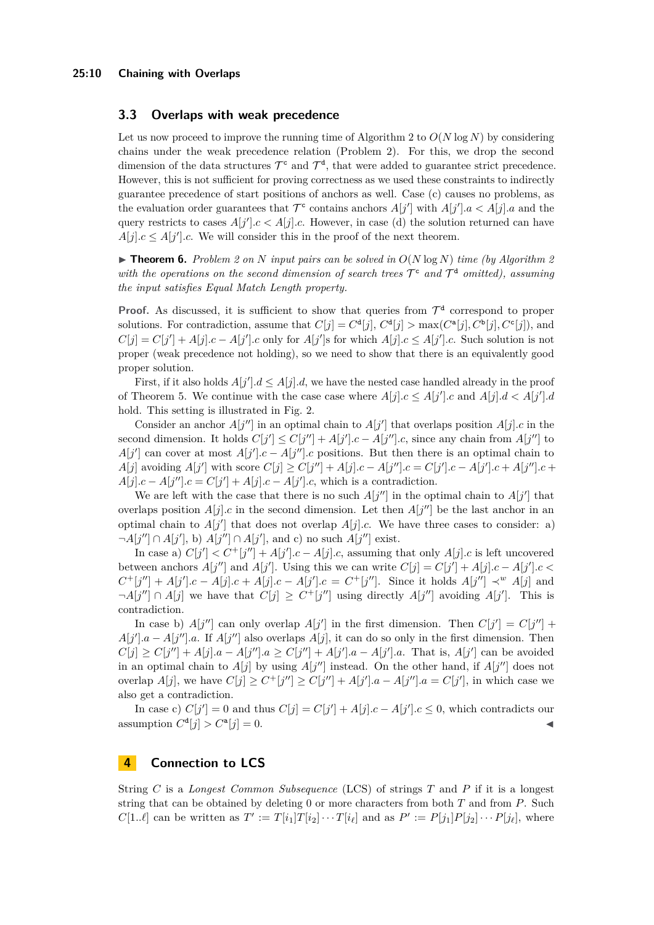## **3.3 Overlaps with weak precedence**

Let us now proceed to improve the running time of Algorithm 2 to  $O(N \log N)$  by considering chains under the weak precedence relation (Problem 2). For this, we drop the second dimension of the data structures  $\mathcal{T}^c$  and  $\mathcal{T}^d$ , that were added to guarantee strict precedence. However, this is not sufficient for proving correctness as we used these constraints to indirectly guarantee precedence of start positions of anchors as well. Case (c) causes no problems, as the evaluation order guarantees that  $\mathcal{T}^c$  contains anchors  $A[j']$  with  $A[j']$ .  $a < A[j]$ .  $a$  and the query restricts to cases  $A[j'].c < A[j].c$ . However, in case (d) the solution returned can have  $A[j].c \leq A[j'].c$ . We will consider this in the proof of the next theorem.

 $\triangleright$  **Theorem 6.** Problem 2 on N input pairs can be solved in  $O(N \log N)$  time (by Algorithm 2) with the operations on the second dimension of search trees  $\mathcal{T}^c$  and  $\mathcal{T}^d$  omitted), assuming *the input satisfies Equal Match Length property.*

**Proof.** As discussed, it is sufficient to show that queries from  $\mathcal{T}^d$  correspond to proper solutions. For contradiction, assume that  $C[j] = C^{\mathbf{d}}[j], C^{\mathbf{d}}[j] > \max(C^{\mathbf{a}}[j], C^{\mathbf{b}}[j], C^{\mathbf{c}}[j])$ , and  $C[j] = C[j'] + A[j].c - A[j'].c$  only for  $A[j']$ s for which  $A[j].c \leq A[j'].c$ . Such solution is not proper (weak precedence not holding), so we need to show that there is an equivalently good proper solution.

First, if it also holds  $A[j'].d \leq A[j].d$ , we have the nested case handled already in the proof of Theorem 5. We continue with the case case where  $A[j].c \leq A[j'].c$  and  $A[j].d < A[j'].d$ hold. This setting is illustrated in Fig. 2.

Consider an anchor  $A[j'']$  in an optimal chain to  $A[j']$  that overlaps position  $A[j]$ .c in the second dimension. It holds  $C[j'] \leq C[j''] + A[j'] \cdot c - A[j''] \cdot c$ , since any chain from  $A[j'']$  to  $A[j']$  can cover at most  $A[j']$ .*c* −  $A[j'']$ .*c* positions. But then there is an optimal chain to  $A[j]$  avoiding  $A[j']$  with score  $C[j] \geq C[j''] + A[j]$ .  $c - A[j'']$ .  $c = C[j']$ .  $c - A[j']$ .  $c + A[j'']$ .  $c +$  $A[j].c - A[j''].c = C[j'] + A[j].c - A[j'].c$ , which is a contradiction.

We are left with the case that there is no such  $A[j'']$  in the optimal chain to  $A[j']$  that overlaps position  $A[j]$ .c in the second dimension. Let then  $A[j'']$  be the last anchor in an optimal chain to  $A[j']$  that does not overlap  $A[j]$ .c. We have three cases to consider: a)  $\neg A[j''] \cap A[j'],$  b)  $A[j''] \cap A[j'],$  and c) no such  $A[j'']$  exist.

In case a)  $C[j'] < C^+[j''] + A[j'].c - A[j].c$ , assuming that only  $A[j].c$  is left uncovered between anchors  $A[j'']$  and  $A[j']$ . Using this we can write  $C[j] = C[j'] + A[j]$ .  $c - A[j']$ .  $c <$  $C^+[j''] + A[j'].c - A[j].c + A[j].c - A[j'].c = C^+[j''].$  Since it holds  $A[j''] \prec^w A[j]$  and  $\neg A[j''] \cap A[j]$  we have that  $C[j] \geq C^+[j'']$  using directly  $A[j'']$  avoiding  $A[j']$ . This is contradiction.

In case b)  $A[j'']$  can only overlap  $A[j']$  in the first dimension. Then  $C[j'] = C[j''] +$  $A[j'].a - A[j'']$ .a. If  $A[j'']$  also overlaps  $A[j]$ , it can do so only in the first dimension. Then  $C[j] \geq C[j''] + A[j] \cdot a - A[j''] \cdot a \geq C[j''] + A[j'] \cdot a - A[j'] \cdot a$ . That is,  $A[j']$  can be avoided in an optimal chain to  $A[j]$  by using  $A[j'']$  instead. On the other hand, if  $A[j'']$  does not overlap  $A[j]$ , we have  $C[j] \ge C^+[j''] \ge C[j''] + A[j']$ .*a* –  $A[j'']$ .*a* =  $C[j']$ , in which case we also get a contradiction.

In case c)  $C[j'] = 0$  and thus  $C[j] = C[j'] + A[j]$ .  $c - A[j']$ .  $c \leq 0$ , which contradicts our assumption  $C^{\mathbf{d}}[j] > C^{\mathbf{a}}$  $[j] = 0.$ 

## **4 Connection to LCS**

String *C* is a *Longest Common Subsequence* (LCS) of strings *T* and *P* if it is a longest string that can be obtained by deleting 0 or more characters from both *T* and from *P*. Such  $C[1..\ell]$  can be written as  $T' := T[i_1]T[i_2]\cdots T[i_\ell]$  and as  $P' := P[j_1]P[j_2]\cdots P[j_\ell]$ , where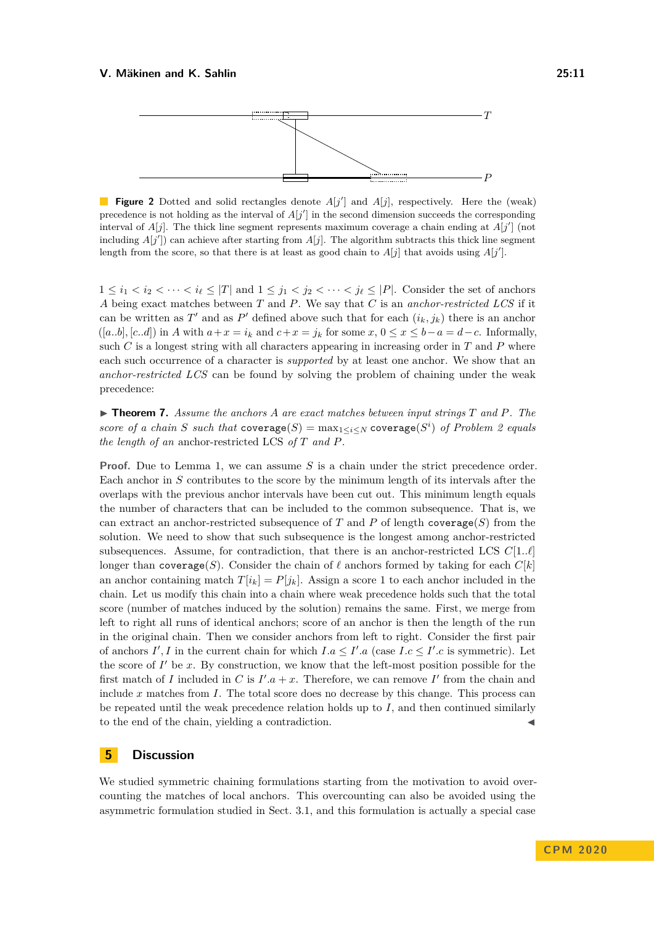

**Figure 2** Dotted and solid rectangles denote  $A[j']$  and  $A[j]$ , respectively. Here the (weak) precedence is not holding as the interval of  $A[j']$  in the second dimension succeeds the corresponding interval of  $A[j]$ . The thick line segment represents maximum coverage a chain ending at  $A[j']$  (not including  $A[j']$  can achieve after starting from  $A[j]$ . The algorithm subtracts this thick line segment length from the score, so that there is at least as good chain to  $A[j]$  that avoids using  $A[j']$ .

 $1 \leq i_1 < i_2 < \cdots < i_\ell \leq |T|$  and  $1 \leq j_1 < j_2 < \cdots < j_\ell \leq |P|$ . Consider the set of anchors *A* being exact matches between *T* and *P*. We say that *C* is an *anchor-restricted LCS* if it can be written as  $T'$  and as  $P'$  defined above such that for each  $(i_k, j_k)$  there is an anchor  $([a,b], [c,d])$  in *A* with  $a+x=i_k$  and  $c+x=j_k$  for some  $x, 0 \le x \le b-a = d-c$ . Informally, such  $C$  is a longest string with all characters appearing in increasing order in  $T$  and  $P$  where each such occurrence of a character is *supported* by at least one anchor. We show that an *anchor-restricted LCS* can be found by solving the problem of chaining under the weak precedence:

 $\triangleright$  **Theorem 7.** Assume the anchors A are exact matches between input strings T and P. The *score of a chain S such that*  $\text{coverage}(S) = \max_{1 \leq i \leq N} \text{coverage}(S^i)$  *of Problem 2 equals the length of an* anchor-restricted LCS *of T and P.*

**Proof.** Due to Lemma 1, we can assume *S* is a chain under the strict precedence order. Each anchor in *S* contributes to the score by the minimum length of its intervals after the overlaps with the previous anchor intervals have been cut out. This minimum length equals the number of characters that can be included to the common subsequence. That is, we can extract an anchor-restricted subsequence of  $T$  and  $P$  of length coverage( $S$ ) from the solution. We need to show that such subsequence is the longest among anchor-restricted subsequences. Assume, for contradiction, that there is an anchor-restricted LCS  $C[1,\ell]$ longer than coverage(*S*). Consider the chain of  $\ell$  anchors formed by taking for each  $C[k]$ an anchor containing match  $T[i_k] = P[j_k]$ . Assign a score 1 to each anchor included in the chain. Let us modify this chain into a chain where weak precedence holds such that the total score (number of matches induced by the solution) remains the same. First, we merge from left to right all runs of identical anchors; score of an anchor is then the length of the run in the original chain. Then we consider anchors from left to right. Consider the first pair of anchors  $I', I$  in the current chain for which  $I.a \leq I'.a$  (case  $I.c \leq I'.c$  is symmetric). Let the score of  $I'$  be  $x$ . By construction, we know that the left-most position possible for the first match of *I* included in *C* is  $I'.a + x$ . Therefore, we can remove *I'* from the chain and include *x* matches from *I*. The total score does no decrease by this change. This process can be repeated until the weak precedence relation holds up to *I*, and then continued similarly to the end of the chain, yielding a contradiction.

## **5 Discussion**

We studied symmetric chaining formulations starting from the motivation to avoid overcounting the matches of local anchors. This overcounting can also be avoided using the asymmetric formulation studied in Sect. 3.1, and this formulation is actually a special case